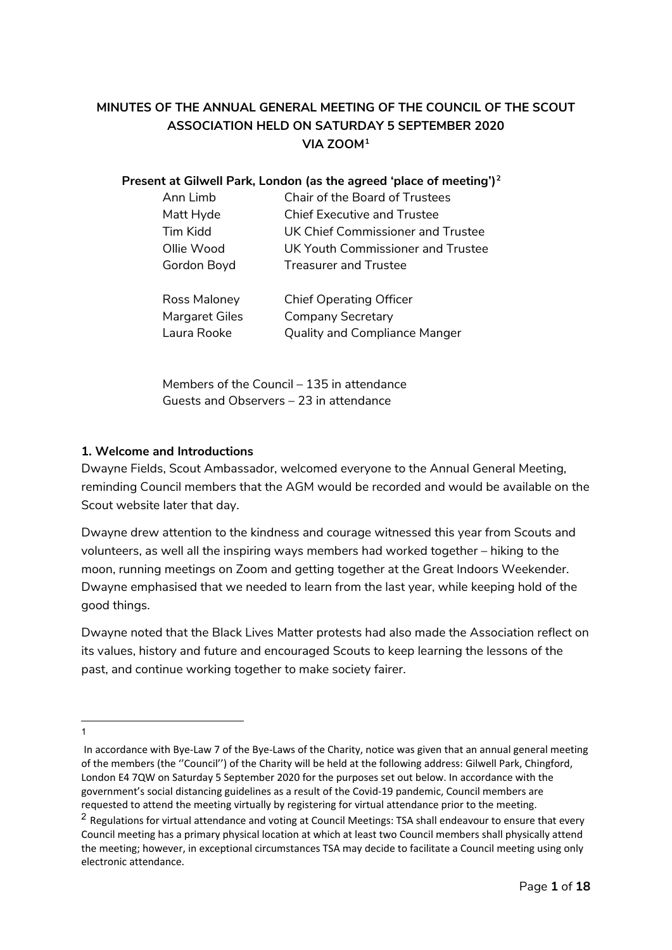# **MINUTES OF THE ANNUAL GENERAL MEETING OF THE COUNCIL OF THE SCOUT ASSOCIATION HELD ON SATURDAY 5 SEPTEMBER 2020 VIA ZOOM[1](#page-0-0)**

#### **Present at Gilwell Park, London (as the agreed 'place of meeting')[2](#page-0-1)**

| Ann Limb    | Chair of the Board of Trustees     |
|-------------|------------------------------------|
| Matt Hyde   | <b>Chief Executive and Trustee</b> |
| Tim Kidd    | UK Chief Commissioner and Trustee  |
| Ollie Wood  | UK Youth Commissioner and Trustee  |
| Gordon Boyd | <b>Treasurer and Trustee</b>       |

| Ross Maloney   | <b>Chief Operating Officer</b>       |
|----------------|--------------------------------------|
| Margaret Giles | Company Secretary                    |
| Laura Rooke    | <b>Quality and Compliance Manger</b> |

Members of the Council – 135 in attendance Guests and Observers – 23 in attendance

# **1. Welcome and Introductions**

Dwayne Fields, Scout Ambassador, welcomed everyone to the Annual General Meeting, reminding Council members that the AGM would be recorded and would be available on the Scout website later that day.

Dwayne drew attention to the kindness and courage witnessed this year from Scouts and volunteers, as well all the inspiring ways members had worked together – hiking to the moon, running meetings on Zoom and getting together at the Great Indoors Weekender. Dwayne emphasised that we needed to learn from the last year, while keeping hold of the good things.

Dwayne noted that the Black Lives Matter protests had also made the Association reflect on its values, history and future and encouraged Scouts to keep learning the lessons of the past, and continue working together to make society fairer.

 $\overline{a}$ 1

<span id="page-0-0"></span>In accordance with Bye-Law 7 of the Bye-Laws of the Charity, notice was given that an annual general meeting of the members (the ''Council'') of the Charity will be held at the following address: Gilwell Park, Chingford, London E4 7QW on Saturday 5 September 2020 for the purposes set out below. In accordance with the government's social distancing guidelines as a result of the Covid-19 pandemic, Council members are requested to attend the meeting virtually by registering for virtual attendance prior to the meeting.

<span id="page-0-1"></span><sup>&</sup>lt;sup>2</sup> Regulations for virtual attendance and voting at Council Meetings: TSA shall endeavour to ensure that every Council meeting has a primary physical location at which at least two Council members shall physically attend the meeting; however, in exceptional circumstances TSA may decide to facilitate a Council meeting using only electronic attendance.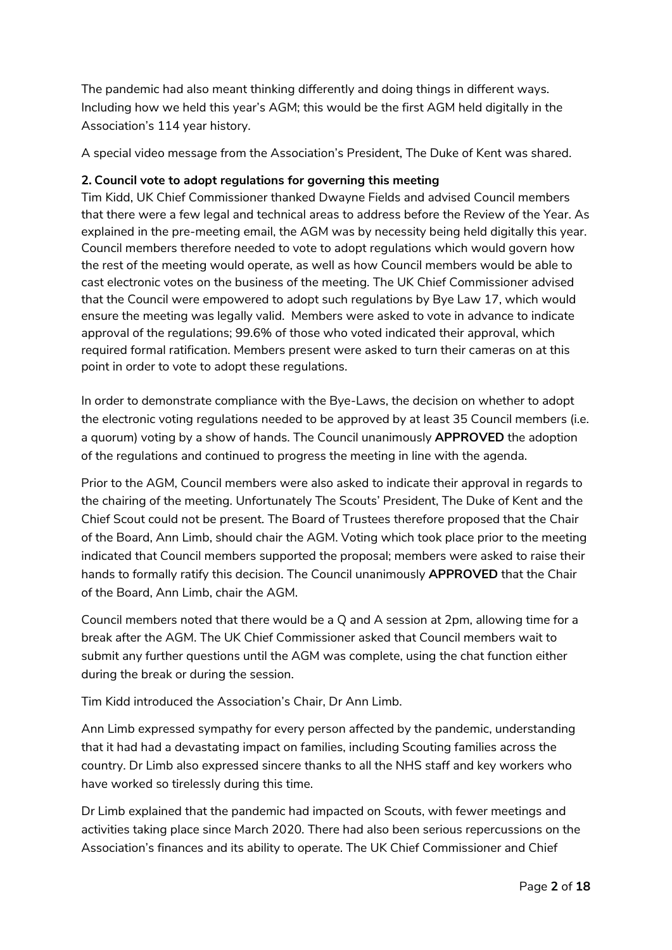The pandemic had also meant thinking differently and doing things in different ways. Including how we held this year's AGM; this would be the first AGM held digitally in the Association's 114 year history.

A special video message from the Association's President, The Duke of Kent was shared.

### **2. Council vote to adopt regulations for governing this meeting**

Tim Kidd, UK Chief Commissioner thanked Dwayne Fields and advised Council members that there were a few legal and technical areas to address before the Review of the Year. As explained in the pre-meeting email, the AGM was by necessity being held digitally this year. Council members therefore needed to vote to adopt regulations which would govern how the rest of the meeting would operate, as well as how Council members would be able to cast electronic votes on the business of the meeting. The UK Chief Commissioner advised that the Council were empowered to adopt such regulations by Bye Law 17, which would ensure the meeting was legally valid. Members were asked to vote in advance to indicate approval of the regulations; 99.6% of those who voted indicated their approval, which required formal ratification. Members present were asked to turn their cameras on at this point in order to vote to adopt these regulations.

In order to demonstrate compliance with the Bye-Laws, the decision on whether to adopt the electronic voting regulations needed to be approved by at least 35 Council members (i.e. a quorum) voting by a show of hands. The Council unanimously **APPROVED** the adoption of the regulations and continued to progress the meeting in line with the agenda.

Prior to the AGM, Council members were also asked to indicate their approval in regards to the chairing of the meeting. Unfortunately The Scouts' President, The Duke of Kent and the Chief Scout could not be present. The Board of Trustees therefore proposed that the Chair of the Board, Ann Limb, should chair the AGM. Voting which took place prior to the meeting indicated that Council members supported the proposal; members were asked to raise their hands to formally ratify this decision. The Council unanimously **APPROVED** that the Chair of the Board, Ann Limb, chair the AGM.

Council members noted that there would be a Q and A session at 2pm, allowing time for a break after the AGM. The UK Chief Commissioner asked that Council members wait to submit any further questions until the AGM was complete, using the chat function either during the break or during the session.

Tim Kidd introduced the Association's Chair, Dr Ann Limb.

Ann Limb expressed sympathy for every person affected by the pandemic, understanding that it had had a devastating impact on families, including Scouting families across the country. Dr Limb also expressed sincere thanks to all the NHS staff and key workers who have worked so tirelessly during this time.

Dr Limb explained that the pandemic had impacted on Scouts, with fewer meetings and activities taking place since March 2020. There had also been serious repercussions on the Association's finances and its ability to operate. The UK Chief Commissioner and Chief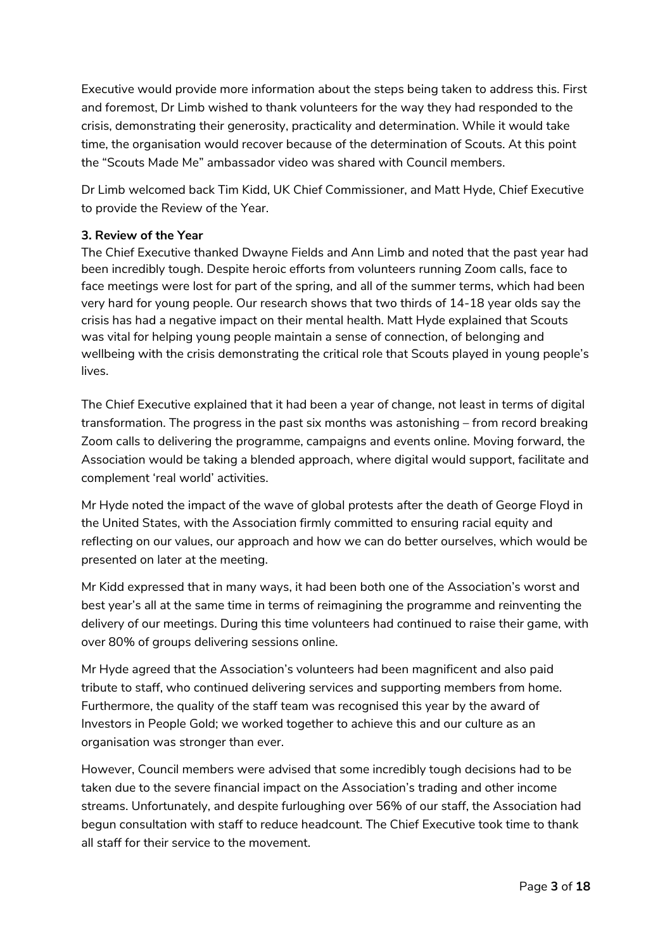Executive would provide more information about the steps being taken to address this. First and foremost, Dr Limb wished to thank volunteers for the way they had responded to the crisis, demonstrating their generosity, practicality and determination. While it would take time, the organisation would recover because of the determination of Scouts. At this point the "Scouts Made Me" ambassador video was shared with Council members.

Dr Limb welcomed back Tim Kidd, UK Chief Commissioner, and Matt Hyde, Chief Executive to provide the Review of the Year.

### **3. Review of the Year**

The Chief Executive thanked Dwayne Fields and Ann Limb and noted that the past year had been incredibly tough. Despite heroic efforts from volunteers running Zoom calls, face to face meetings were lost for part of the spring, and all of the summer terms, which had been very hard for young people. Our research shows that two thirds of 14-18 year olds say the crisis has had a negative impact on their mental health. Matt Hyde explained that Scouts was vital for helping young people maintain a sense of connection, of belonging and wellbeing with the crisis demonstrating the critical role that Scouts played in young people's lives.

The Chief Executive explained that it had been a year of change, not least in terms of digital transformation. The progress in the past six months was astonishing – from record breaking Zoom calls to delivering the programme, campaigns and events online. Moving forward, the Association would be taking a blended approach, where digital would support, facilitate and complement 'real world' activities.

Mr Hyde noted the impact of the wave of global protests after the death of George Floyd in the United States, with the Association firmly committed to ensuring racial equity and reflecting on our values, our approach and how we can do better ourselves, which would be presented on later at the meeting.

Mr Kidd expressed that in many ways, it had been both one of the Association's worst and best year's all at the same time in terms of reimagining the programme and reinventing the delivery of our meetings. During this time volunteers had continued to raise their game, with over 80% of groups delivering sessions online.

Mr Hyde agreed that the Association's volunteers had been magnificent and also paid tribute to staff, who continued delivering services and supporting members from home. Furthermore, the quality of the staff team was recognised this year by the award of Investors in People Gold; we worked together to achieve this and our culture as an organisation was stronger than ever.

However, Council members were advised that some incredibly tough decisions had to be taken due to the severe financial impact on the Association's trading and other income streams. Unfortunately, and despite furloughing over 56% of our staff, the Association had begun consultation with staff to reduce headcount. The Chief Executive took time to thank all staff for their service to the movement.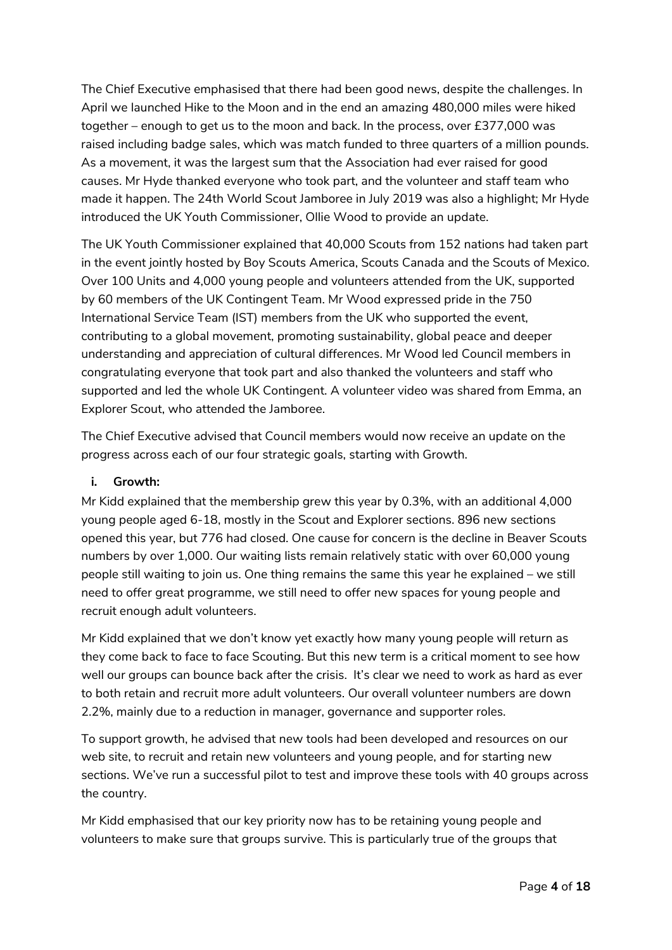The Chief Executive emphasised that there had been good news, despite the challenges. In April we launched Hike to the Moon and in the end an amazing 480,000 miles were hiked together – enough to get us to the moon and back. In the process, over £377,000 was raised including badge sales, which was match funded to three quarters of a million pounds. As a movement, it was the largest sum that the Association had ever raised for good causes. Mr Hyde thanked everyone who took part, and the volunteer and staff team who made it happen. The 24th World Scout Jamboree in July 2019 was also a highlight; Mr Hyde introduced the UK Youth Commissioner, Ollie Wood to provide an update.

The UK Youth Commissioner explained that 40,000 Scouts from 152 nations had taken part in the event jointly hosted by Boy Scouts America, Scouts Canada and the Scouts of Mexico. Over 100 Units and 4,000 young people and volunteers attended from the UK, supported by 60 members of the UK Contingent Team. Mr Wood expressed pride in the 750 International Service Team (IST) members from the UK who supported the event, contributing to a global movement, promoting sustainability, global peace and deeper understanding and appreciation of cultural differences. Mr Wood led Council members in congratulating everyone that took part and also thanked the volunteers and staff who supported and led the whole UK Contingent. A volunteer video was shared from Emma, an Explorer Scout, who attended the Jamboree.

The Chief Executive advised that Council members would now receive an update on the progress across each of our four strategic goals, starting with Growth.

# **i. Growth:**

Mr Kidd explained that the membership grew this year by 0.3%, with an additional 4,000 young people aged 6-18, mostly in the Scout and Explorer sections. 896 new sections opened this year, but 776 had closed. One cause for concern is the decline in Beaver Scouts numbers by over 1,000. Our waiting lists remain relatively static with over 60,000 young people still waiting to join us. One thing remains the same this year he explained – we still need to offer great programme, we still need to offer new spaces for young people and recruit enough adult volunteers.

Mr Kidd explained that we don't know yet exactly how many young people will return as they come back to face to face Scouting. But this new term is a critical moment to see how well our groups can bounce back after the crisis. It's clear we need to work as hard as ever to both retain and recruit more adult volunteers. Our overall volunteer numbers are down 2.2%, mainly due to a reduction in manager, governance and supporter roles.

To support growth, he advised that new tools had been developed and resources on our web site, to recruit and retain new volunteers and young people, and for starting new sections. We've run a successful pilot to test and improve these tools with 40 groups across the country.

Mr Kidd emphasised that our key priority now has to be retaining young people and volunteers to make sure that groups survive. This is particularly true of the groups that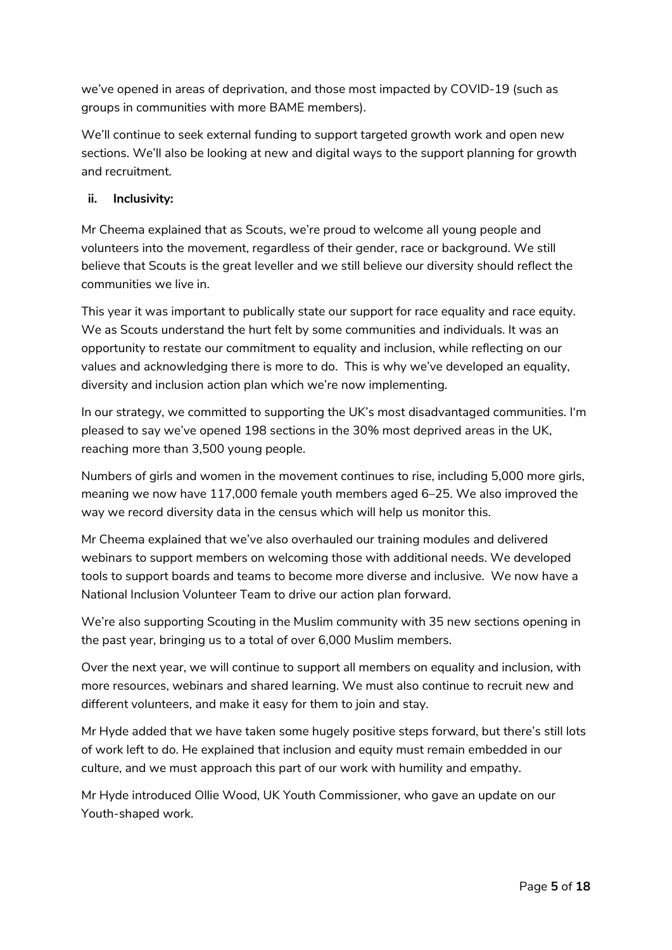we've opened in areas of deprivation, and those most impacted by COVID-19 (such as groups in communities with more BAME members).

We'll continue to seek external funding to support targeted growth work and open new sections. We'll also be looking at new and digital ways to the support planning for growth and recruitment.

# **ii. Inclusivity:**

Mr Cheema explained that as Scouts, we're proud to welcome all young people and volunteers into the movement, regardless of their gender, race or background. We still believe that Scouts is the great leveller and we still believe our diversity should reflect the communities we live in.

This year it was important to publically state our support for race equality and race equity. We as Scouts understand the hurt felt by some communities and individuals. It was an opportunity to restate our commitment to equality and inclusion, while reflecting on our values and acknowledging there is more to do. This is why we've developed an equality, diversity and inclusion action plan which we're now implementing.

In our strategy, we committed to supporting the UK's most disadvantaged communities. I'm pleased to say we've opened 198 sections in the 30% most deprived areas in the UK, reaching more than 3,500 young people.

Numbers of girls and women in the movement continues to rise, including 5,000 more girls, meaning we now have 117,000 female youth members aged 6–25. We also improved the way we record diversity data in the census which will help us monitor this.

Mr Cheema explained that we've also overhauled our training modules and delivered webinars to support members on welcoming those with additional needs. We developed tools to support boards and teams to become more diverse and inclusive. We now have a National Inclusion Volunteer Team to drive our action plan forward.

We're also supporting Scouting in the Muslim community with 35 new sections opening in the past year, bringing us to a total of over 6,000 Muslim members.

Over the next year, we will continue to support all members on equality and inclusion, with more resources, webinars and shared learning. We must also continue to recruit new and different volunteers, and make it easy for them to join and stay.

Mr Hyde added that we have taken some hugely positive steps forward, but there's still lots of work left to do. He explained that inclusion and equity must remain embedded in our culture, and we must approach this part of our work with humility and empathy.

Mr Hyde introduced Ollie Wood, UK Youth Commissioner, who gave an update on our Youth-shaped work.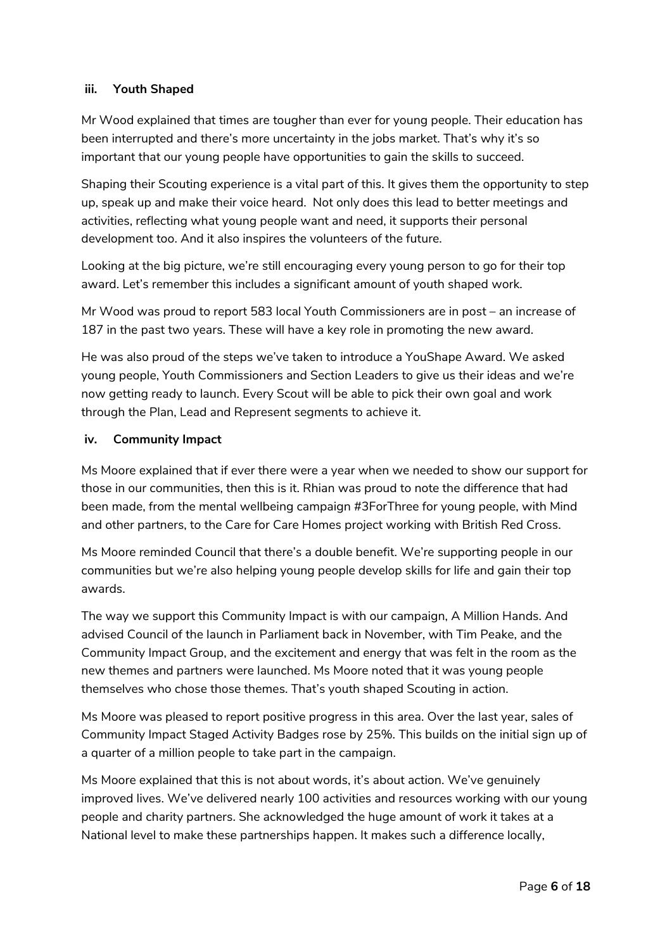# **iii. Youth Shaped**

Mr Wood explained that times are tougher than ever for young people. Their education has been interrupted and there's more uncertainty in the jobs market. That's why it's so important that our young people have opportunities to gain the skills to succeed.

Shaping their Scouting experience is a vital part of this. It gives them the opportunity to step up, speak up and make their voice heard. Not only does this lead to better meetings and activities, reflecting what young people want and need, it supports their personal development too. And it also inspires the volunteers of the future.

Looking at the big picture, we're still encouraging every young person to go for their top award. Let's remember this includes a significant amount of youth shaped work.

Mr Wood was proud to report 583 local Youth Commissioners are in post – an increase of 187 in the past two years. These will have a key role in promoting the new award.

He was also proud of the steps we've taken to introduce a YouShape Award. We asked young people, Youth Commissioners and Section Leaders to give us their ideas and we're now getting ready to launch. Every Scout will be able to pick their own goal and work through the Plan, Lead and Represent segments to achieve it.

#### **iv. Community Impact**

Ms Moore explained that if ever there were a year when we needed to show our support for those in our communities, then this is it. Rhian was proud to note the difference that had been made, from the mental wellbeing campaign #3ForThree for young people, with Mind and other partners, to the Care for Care Homes project working with British Red Cross.

Ms Moore reminded Council that there's a double benefit. We're supporting people in our communities but we're also helping young people develop skills for life and gain their top awards.

The way we support this Community Impact is with our campaign, A Million Hands. And advised Council of the launch in Parliament back in November, with Tim Peake, and the Community Impact Group, and the excitement and energy that was felt in the room as the new themes and partners were launched. Ms Moore noted that it was young people themselves who chose those themes. That's youth shaped Scouting in action.

Ms Moore was pleased to report positive progress in this area. Over the last year, sales of Community Impact Staged Activity Badges rose by 25%. This builds on the initial sign up of a quarter of a million people to take part in the campaign.

Ms Moore explained that this is not about words, it's about action. We've genuinely improved lives. We've delivered nearly 100 activities and resources working with our young people and charity partners. She acknowledged the huge amount of work it takes at a National level to make these partnerships happen. It makes such a difference locally,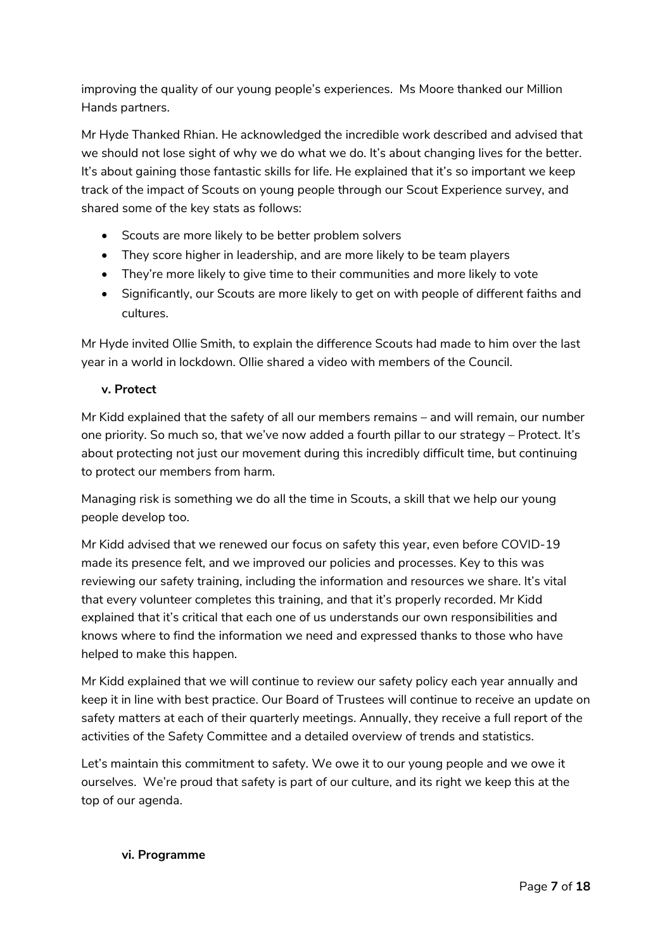improving the quality of our young people's experiences. Ms Moore thanked our Million Hands partners.

Mr Hyde Thanked Rhian. He acknowledged the incredible work described and advised that we should not lose sight of why we do what we do. It's about changing lives for the better. It's about gaining those fantastic skills for life. He explained that it's so important we keep track of the impact of Scouts on young people through our Scout Experience survey, and shared some of the key stats as follows:

- Scouts are more likely to be better problem solvers
- They score higher in leadership, and are more likely to be team players
- They're more likely to give time to their communities and more likely to vote
- Significantly, our Scouts are more likely to get on with people of different faiths and cultures.

Mr Hyde invited Ollie Smith, to explain the difference Scouts had made to him over the last year in a world in lockdown. Ollie shared a video with members of the Council.

# **v. Protect**

Mr Kidd explained that the safety of all our members remains – and will remain, our number one priority. So much so, that we've now added a fourth pillar to our strategy – Protect. It's about protecting not just our movement during this incredibly difficult time, but continuing to protect our members from harm.

Managing risk is something we do all the time in Scouts, a skill that we help our young people develop too.

Mr Kidd advised that we renewed our focus on safety this year, even before COVID-19 made its presence felt, and we improved our policies and processes. Key to this was reviewing our safety training, including the information and resources we share. It's vital that every volunteer completes this training, and that it's properly recorded. Mr Kidd explained that it's critical that each one of us understands our own responsibilities and knows where to find the information we need and expressed thanks to those who have helped to make this happen.

Mr Kidd explained that we will continue to review our safety policy each year annually and keep it in line with best practice. Our Board of Trustees will continue to receive an update on safety matters at each of their quarterly meetings. Annually, they receive a full report of the activities of the Safety Committee and a detailed overview of trends and statistics.

Let's maintain this commitment to safety. We owe it to our young people and we owe it ourselves. We're proud that safety is part of our culture, and its right we keep this at the top of our agenda.

#### **vi. Programme**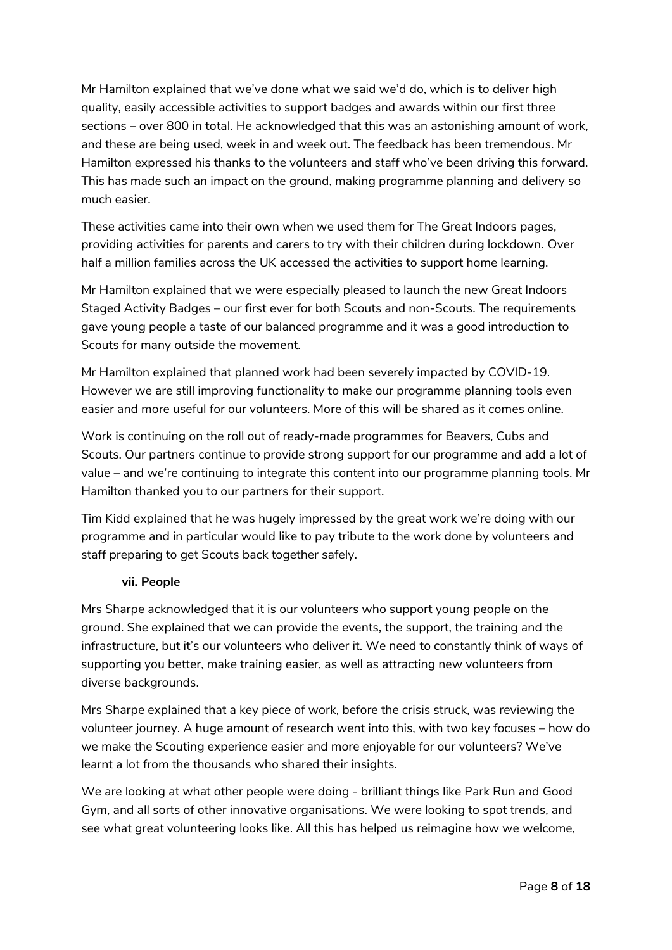Mr Hamilton explained that we've done what we said we'd do, which is to deliver high quality, easily accessible activities to support badges and awards within our first three sections – over 800 in total. He acknowledged that this was an astonishing amount of work, and these are being used, week in and week out. The feedback has been tremendous. Mr Hamilton expressed his thanks to the volunteers and staff who've been driving this forward. This has made such an impact on the ground, making programme planning and delivery so much easier.

These activities came into their own when we used them for The Great Indoors pages, providing activities for parents and carers to try with their children during lockdown. Over half a million families across the UK accessed the activities to support home learning.

Mr Hamilton explained that we were especially pleased to launch the new Great Indoors Staged Activity Badges – our first ever for both Scouts and non-Scouts. The requirements gave young people a taste of our balanced programme and it was a good introduction to Scouts for many outside the movement.

Mr Hamilton explained that planned work had been severely impacted by COVID-19. However we are still improving functionality to make our programme planning tools even easier and more useful for our volunteers. More of this will be shared as it comes online.

Work is continuing on the roll out of ready-made programmes for Beavers, Cubs and Scouts. Our partners continue to provide strong support for our programme and add a lot of value – and we're continuing to integrate this content into our programme planning tools. Mr Hamilton thanked you to our partners for their support.

Tim Kidd explained that he was hugely impressed by the great work we're doing with our programme and in particular would like to pay tribute to the work done by volunteers and staff preparing to get Scouts back together safely.

#### **vii. People**

Mrs Sharpe acknowledged that it is our volunteers who support young people on the ground. She explained that we can provide the events, the support, the training and the infrastructure, but it's our volunteers who deliver it. We need to constantly think of ways of supporting you better, make training easier, as well as attracting new volunteers from diverse backgrounds.

Mrs Sharpe explained that a key piece of work, before the crisis struck, was reviewing the volunteer journey. A huge amount of research went into this, with two key focuses – how do we make the Scouting experience easier and more enjoyable for our volunteers? We've learnt a lot from the thousands who shared their insights.

We are looking at what other people were doing - brilliant things like Park Run and Good Gym, and all sorts of other innovative organisations. We were looking to spot trends, and see what great volunteering looks like. All this has helped us reimagine how we welcome,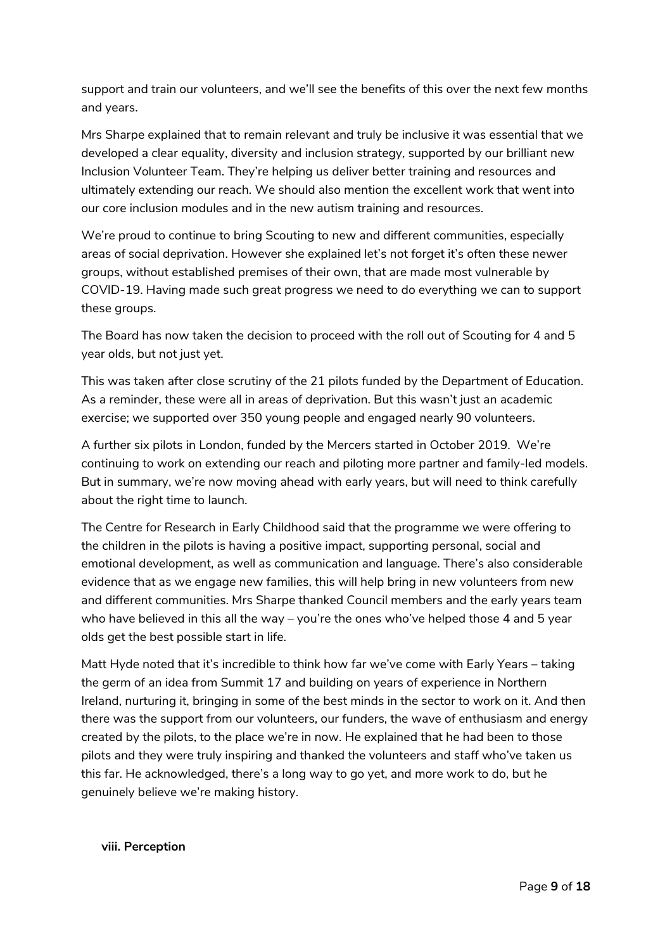support and train our volunteers, and we'll see the benefits of this over the next few months and years.

Mrs Sharpe explained that to remain relevant and truly be inclusive it was essential that we developed a clear equality, diversity and inclusion strategy, supported by our brilliant new Inclusion Volunteer Team. They're helping us deliver better training and resources and ultimately extending our reach. We should also mention the excellent work that went into our core inclusion modules and in the new autism training and resources.

We're proud to continue to bring Scouting to new and different communities, especially areas of social deprivation. However she explained let's not forget it's often these newer groups, without established premises of their own, that are made most vulnerable by COVID-19. Having made such great progress we need to do everything we can to support these groups.

The Board has now taken the decision to proceed with the roll out of Scouting for 4 and 5 year olds, but not just yet.

This was taken after close scrutiny of the 21 pilots funded by the Department of Education. As a reminder, these were all in areas of deprivation. But this wasn't just an academic exercise; we supported over 350 young people and engaged nearly 90 volunteers.

A further six pilots in London, funded by the Mercers started in October 2019. We're continuing to work on extending our reach and piloting more partner and family-led models. But in summary, we're now moving ahead with early years, but will need to think carefully about the right time to launch.

The Centre for Research in Early Childhood said that the programme we were offering to the children in the pilots is having a positive impact, supporting personal, social and emotional development, as well as communication and language. There's also considerable evidence that as we engage new families, this will help bring in new volunteers from new and different communities. Mrs Sharpe thanked Council members and the early years team who have believed in this all the way – you're the ones who've helped those 4 and 5 year olds get the best possible start in life.

Matt Hyde noted that it's incredible to think how far we've come with Early Years – taking the germ of an idea from Summit 17 and building on years of experience in Northern Ireland, nurturing it, bringing in some of the best minds in the sector to work on it. And then there was the support from our volunteers, our funders, the wave of enthusiasm and energy created by the pilots, to the place we're in now. He explained that he had been to those pilots and they were truly inspiring and thanked the volunteers and staff who've taken us this far. He acknowledged, there's a long way to go yet, and more work to do, but he genuinely believe we're making history.

**viii. Perception**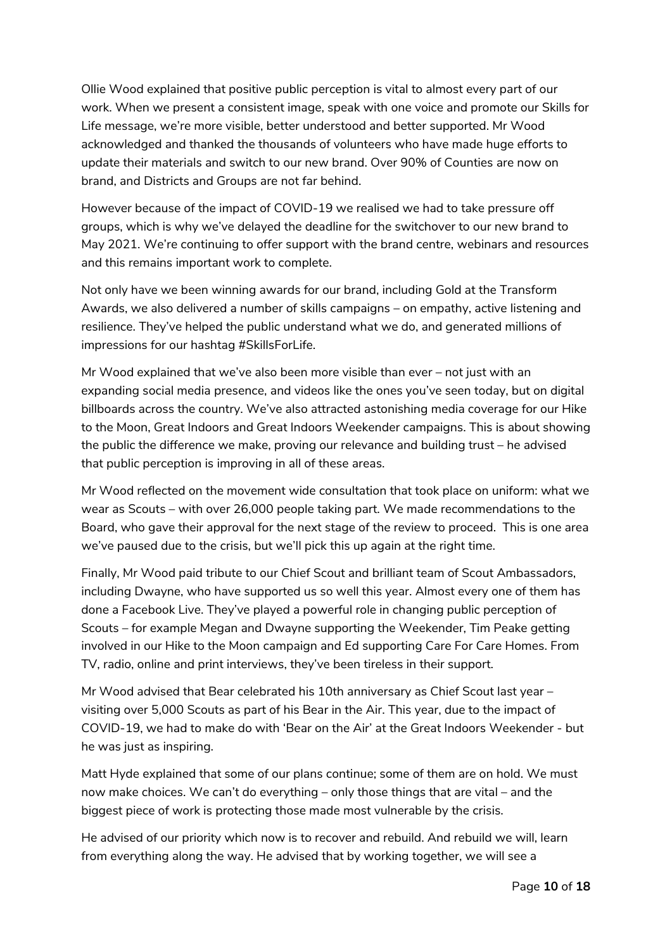Ollie Wood explained that positive public perception is vital to almost every part of our work. When we present a consistent image, speak with one voice and promote our Skills for Life message, we're more visible, better understood and better supported. Mr Wood acknowledged and thanked the thousands of volunteers who have made huge efforts to update their materials and switch to our new brand. Over 90% of Counties are now on brand, and Districts and Groups are not far behind.

However because of the impact of COVID-19 we realised we had to take pressure off groups, which is why we've delayed the deadline for the switchover to our new brand to May 2021. We're continuing to offer support with the brand centre, webinars and resources and this remains important work to complete.

Not only have we been winning awards for our brand, including Gold at the Transform Awards, we also delivered a number of skills campaigns – on empathy, active listening and resilience. They've helped the public understand what we do, and generated millions of impressions for our hashtag #SkillsForLife.

Mr Wood explained that we've also been more visible than ever – not just with an expanding social media presence, and videos like the ones you've seen today, but on digital billboards across the country. We've also attracted astonishing media coverage for our Hike to the Moon, Great Indoors and Great Indoors Weekender campaigns. This is about showing the public the difference we make, proving our relevance and building trust – he advised that public perception is improving in all of these areas.

Mr Wood reflected on the movement wide consultation that took place on uniform: what we wear as Scouts – with over 26,000 people taking part. We made recommendations to the Board, who gave their approval for the next stage of the review to proceed. This is one area we've paused due to the crisis, but we'll pick this up again at the right time.

Finally, Mr Wood paid tribute to our Chief Scout and brilliant team of Scout Ambassadors, including Dwayne, who have supported us so well this year. Almost every one of them has done a Facebook Live. They've played a powerful role in changing public perception of Scouts – for example Megan and Dwayne supporting the Weekender, Tim Peake getting involved in our Hike to the Moon campaign and Ed supporting Care For Care Homes. From TV, radio, online and print interviews, they've been tireless in their support.

Mr Wood advised that Bear celebrated his 10th anniversary as Chief Scout last year – visiting over 5,000 Scouts as part of his Bear in the Air. This year, due to the impact of COVID-19, we had to make do with 'Bear on the Air' at the Great Indoors Weekender - but he was just as inspiring.

Matt Hyde explained that some of our plans continue; some of them are on hold. We must now make choices. We can't do everything – only those things that are vital – and the biggest piece of work is protecting those made most vulnerable by the crisis.

He advised of our priority which now is to recover and rebuild. And rebuild we will, learn from everything along the way. He advised that by working together, we will see a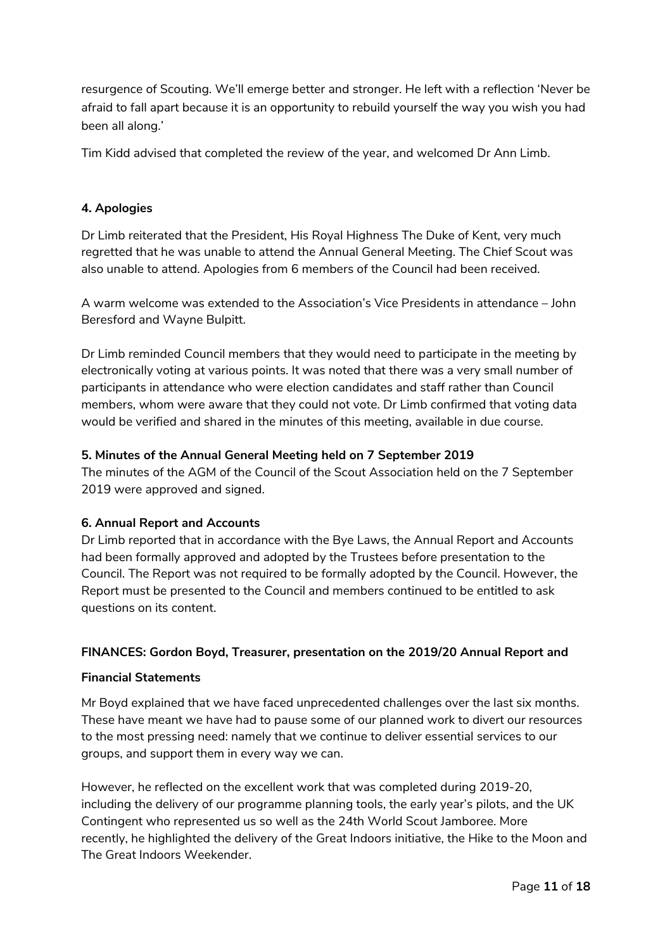resurgence of Scouting. We'll emerge better and stronger. He left with a reflection 'Never be afraid to fall apart because it is an opportunity to rebuild yourself the way you wish you had been all along.'

Tim Kidd advised that completed the review of the year, and welcomed Dr Ann Limb.

# **4. Apologies**

Dr Limb reiterated that the President, His Royal Highness The Duke of Kent, very much regretted that he was unable to attend the Annual General Meeting. The Chief Scout was also unable to attend. Apologies from 6 members of the Council had been received.

A warm welcome was extended to the Association's Vice Presidents in attendance – John Beresford and Wayne Bulpitt.

Dr Limb reminded Council members that they would need to participate in the meeting by electronically voting at various points. It was noted that there was a very small number of participants in attendance who were election candidates and staff rather than Council members, whom were aware that they could not vote. Dr Limb confirmed that voting data would be verified and shared in the minutes of this meeting, available in due course.

#### **5. Minutes of the Annual General Meeting held on 7 September 2019**

The minutes of the AGM of the Council of the Scout Association held on the 7 September 2019 were approved and signed.

# **6. Annual Report and Accounts**

Dr Limb reported that in accordance with the Bye Laws, the Annual Report and Accounts had been formally approved and adopted by the Trustees before presentation to the Council. The Report was not required to be formally adopted by the Council. However, the Report must be presented to the Council and members continued to be entitled to ask questions on its content.

#### **FINANCES: Gordon Boyd, Treasurer, presentation on the 2019/20 Annual Report and**

#### **Financial Statements**

Mr Boyd explained that we have faced unprecedented challenges over the last six months. These have meant we have had to pause some of our planned work to divert our resources to the most pressing need: namely that we continue to deliver essential services to our groups, and support them in every way we can.

However, he reflected on the excellent work that was completed during 2019-20, including the delivery of our programme planning tools, the early year's pilots, and the UK Contingent who represented us so well as the 24th World Scout Jamboree. More recently, he highlighted the delivery of the Great Indoors initiative, the Hike to the Moon and The Great Indoors Weekender.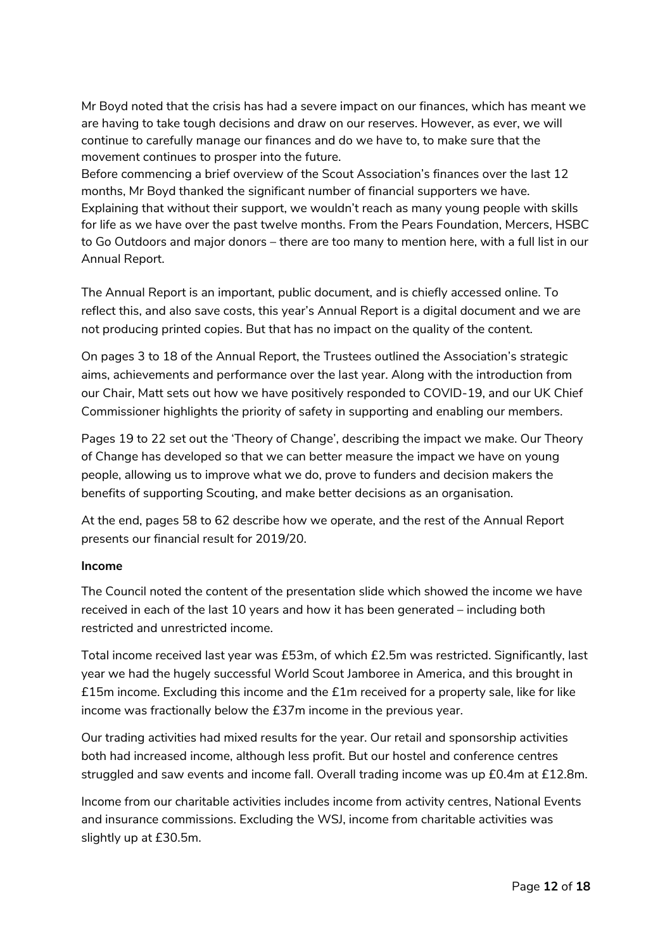Mr Boyd noted that the crisis has had a severe impact on our finances, which has meant we are having to take tough decisions and draw on our reserves. However, as ever, we will continue to carefully manage our finances and do we have to, to make sure that the movement continues to prosper into the future.

Before commencing a brief overview of the Scout Association's finances over the last 12 months, Mr Boyd thanked the significant number of financial supporters we have. Explaining that without their support, we wouldn't reach as many young people with skills for life as we have over the past twelve months. From the Pears Foundation, Mercers, HSBC to Go Outdoors and major donors – there are too many to mention here, with a full list in our Annual Report.

The Annual Report is an important, public document, and is chiefly accessed online. To reflect this, and also save costs, this year's Annual Report is a digital document and we are not producing printed copies. But that has no impact on the quality of the content.

On pages 3 to 18 of the Annual Report, the Trustees outlined the Association's strategic aims, achievements and performance over the last year. Along with the introduction from our Chair, Matt sets out how we have positively responded to COVID-19, and our UK Chief Commissioner highlights the priority of safety in supporting and enabling our members.

Pages 19 to 22 set out the 'Theory of Change', describing the impact we make. Our Theory of Change has developed so that we can better measure the impact we have on young people, allowing us to improve what we do, prove to funders and decision makers the benefits of supporting Scouting, and make better decisions as an organisation.

At the end, pages 58 to 62 describe how we operate, and the rest of the Annual Report presents our financial result for 2019/20.

#### **Income**

The Council noted the content of the presentation slide which showed the income we have received in each of the last 10 years and how it has been generated – including both restricted and unrestricted income.

Total income received last year was £53m, of which £2.5m was restricted. Significantly, last year we had the hugely successful World Scout Jamboree in America, and this brought in £15m income. Excluding this income and the £1m received for a property sale, like for like income was fractionally below the £37m income in the previous year.

Our trading activities had mixed results for the year. Our retail and sponsorship activities both had increased income, although less profit. But our hostel and conference centres struggled and saw events and income fall. Overall trading income was up £0.4m at £12.8m.

Income from our charitable activities includes income from activity centres, National Events and insurance commissions. Excluding the WSJ, income from charitable activities was slightly up at £30.5m.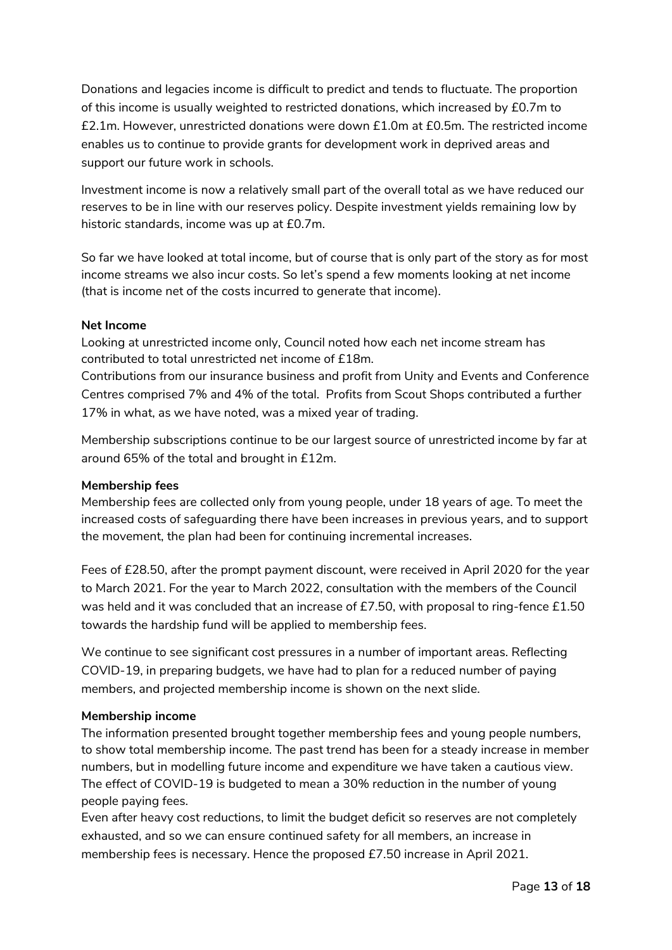Donations and legacies income is difficult to predict and tends to fluctuate. The proportion of this income is usually weighted to restricted donations, which increased by £0.7m to £2.1m. However, unrestricted donations were down £1.0m at £0.5m. The restricted income enables us to continue to provide grants for development work in deprived areas and support our future work in schools.

Investment income is now a relatively small part of the overall total as we have reduced our reserves to be in line with our reserves policy. Despite investment yields remaining low by historic standards, income was up at £0.7m.

So far we have looked at total income, but of course that is only part of the story as for most income streams we also incur costs. So let's spend a few moments looking at net income (that is income net of the costs incurred to generate that income).

# **Net Income**

Looking at unrestricted income only, Council noted how each net income stream has contributed to total unrestricted net income of £18m.

Contributions from our insurance business and profit from Unity and Events and Conference Centres comprised 7% and 4% of the total. Profits from Scout Shops contributed a further 17% in what, as we have noted, was a mixed year of trading.

Membership subscriptions continue to be our largest source of unrestricted income by far at around 65% of the total and brought in £12m.

#### **Membership fees**

Membership fees are collected only from young people, under 18 years of age. To meet the increased costs of safeguarding there have been increases in previous years, and to support the movement, the plan had been for continuing incremental increases.

Fees of £28.50, after the prompt payment discount, were received in April 2020 for the year to March 2021. For the year to March 2022, consultation with the members of the Council was held and it was concluded that an increase of £7.50, with proposal to ring-fence £1.50 towards the hardship fund will be applied to membership fees.

We continue to see significant cost pressures in a number of important areas. Reflecting COVID-19, in preparing budgets, we have had to plan for a reduced number of paying members, and projected membership income is shown on the next slide.

#### **Membership income**

The information presented brought together membership fees and young people numbers, to show total membership income. The past trend has been for a steady increase in member numbers, but in modelling future income and expenditure we have taken a cautious view. The effect of COVID-19 is budgeted to mean a 30% reduction in the number of young people paying fees.

Even after heavy cost reductions, to limit the budget deficit so reserves are not completely exhausted, and so we can ensure continued safety for all members, an increase in membership fees is necessary. Hence the proposed £7.50 increase in April 2021.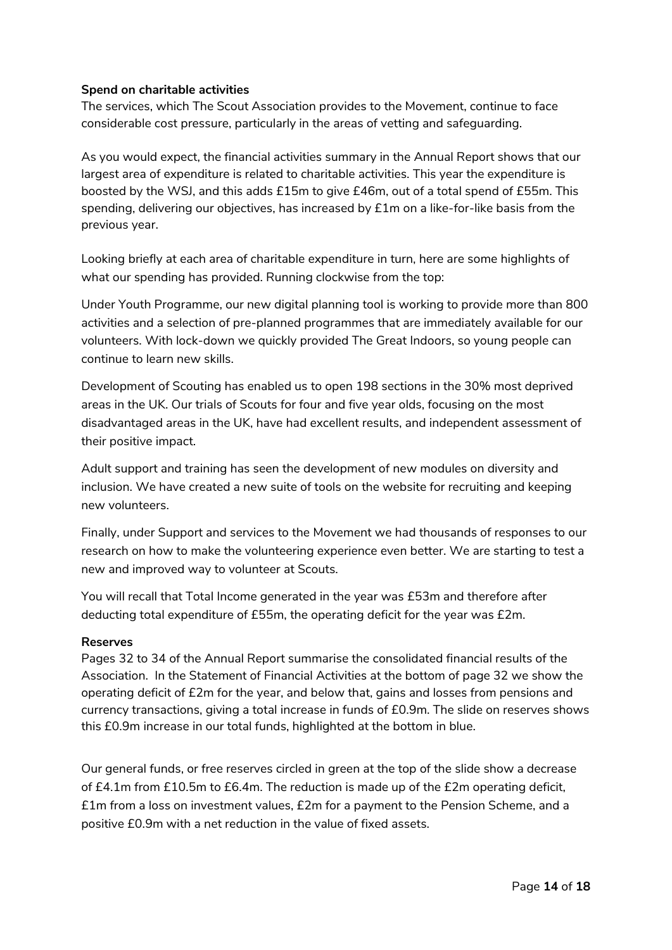#### **Spend on charitable activities**

The services, which The Scout Association provides to the Movement, continue to face considerable cost pressure, particularly in the areas of vetting and safeguarding.

As you would expect, the financial activities summary in the Annual Report shows that our largest area of expenditure is related to charitable activities. This year the expenditure is boosted by the WSJ, and this adds £15m to give £46m, out of a total spend of £55m. This spending, delivering our objectives, has increased by £1m on a like-for-like basis from the previous year.

Looking briefly at each area of charitable expenditure in turn, here are some highlights of what our spending has provided. Running clockwise from the top:

Under Youth Programme, our new digital planning tool is working to provide more than 800 activities and a selection of pre-planned programmes that are immediately available for our volunteers. With lock-down we quickly provided The Great Indoors, so young people can continue to learn new skills.

Development of Scouting has enabled us to open 198 sections in the 30% most deprived areas in the UK. Our trials of Scouts for four and five year olds, focusing on the most disadvantaged areas in the UK, have had excellent results, and independent assessment of their positive impact.

Adult support and training has seen the development of new modules on diversity and inclusion. We have created a new suite of tools on the website for recruiting and keeping new volunteers.

Finally, under Support and services to the Movement we had thousands of responses to our research on how to make the volunteering experience even better. We are starting to test a new and improved way to volunteer at Scouts.

You will recall that Total Income generated in the year was £53m and therefore after deducting total expenditure of £55m, the operating deficit for the year was £2m.

#### **Reserves**

Pages 32 to 34 of the Annual Report summarise the consolidated financial results of the Association. In the Statement of Financial Activities at the bottom of page 32 we show the operating deficit of £2m for the year, and below that, gains and losses from pensions and currency transactions, giving a total increase in funds of £0.9m. The slide on reserves shows this £0.9m increase in our total funds, highlighted at the bottom in blue.

Our general funds, or free reserves circled in green at the top of the slide show a decrease of £4.1m from £10.5m to £6.4m. The reduction is made up of the £2m operating deficit, £1m from a loss on investment values, £2m for a payment to the Pension Scheme, and a positive £0.9m with a net reduction in the value of fixed assets.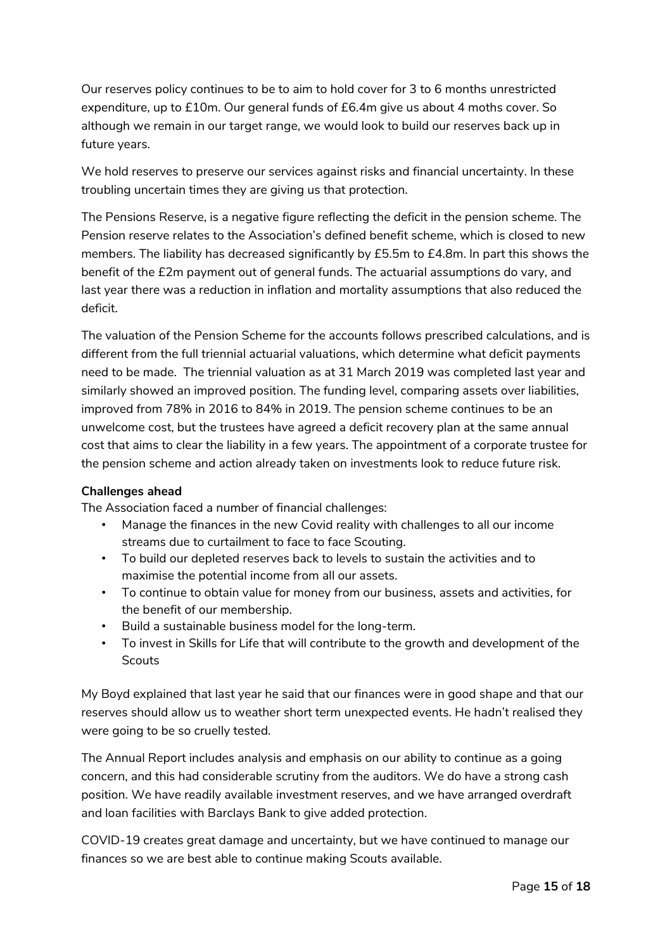Our reserves policy continues to be to aim to hold cover for 3 to 6 months unrestricted expenditure, up to £10m. Our general funds of £6.4m give us about 4 moths cover. So although we remain in our target range, we would look to build our reserves back up in future years.

We hold reserves to preserve our services against risks and financial uncertainty. In these troubling uncertain times they are giving us that protection.

The Pensions Reserve, is a negative figure reflecting the deficit in the pension scheme. The Pension reserve relates to the Association's defined benefit scheme, which is closed to new members. The liability has decreased significantly by £5.5m to £4.8m. In part this shows the benefit of the £2m payment out of general funds. The actuarial assumptions do vary, and last year there was a reduction in inflation and mortality assumptions that also reduced the deficit.

The valuation of the Pension Scheme for the accounts follows prescribed calculations, and is different from the full triennial actuarial valuations, which determine what deficit payments need to be made. The triennial valuation as at 31 March 2019 was completed last year and similarly showed an improved position. The funding level, comparing assets over liabilities, improved from 78% in 2016 to 84% in 2019. The pension scheme continues to be an unwelcome cost, but the trustees have agreed a deficit recovery plan at the same annual cost that aims to clear the liability in a few years. The appointment of a corporate trustee for the pension scheme and action already taken on investments look to reduce future risk.

#### **Challenges ahead**

The Association faced a number of financial challenges:

- Manage the finances in the new Covid reality with challenges to all our income streams due to curtailment to face to face Scouting.
- To build our depleted reserves back to levels to sustain the activities and to maximise the potential income from all our assets.
- To continue to obtain value for money from our business, assets and activities, for the benefit of our membership.
- Build a sustainable business model for the long-term.
- To invest in Skills for Life that will contribute to the growth and development of the Scouts

My Boyd explained that last year he said that our finances were in good shape and that our reserves should allow us to weather short term unexpected events. He hadn't realised they were going to be so cruelly tested.

The Annual Report includes analysis and emphasis on our ability to continue as a going concern, and this had considerable scrutiny from the auditors. We do have a strong cash position. We have readily available investment reserves, and we have arranged overdraft and loan facilities with Barclays Bank to give added protection.

COVID-19 creates great damage and uncertainty, but we have continued to manage our finances so we are best able to continue making Scouts available.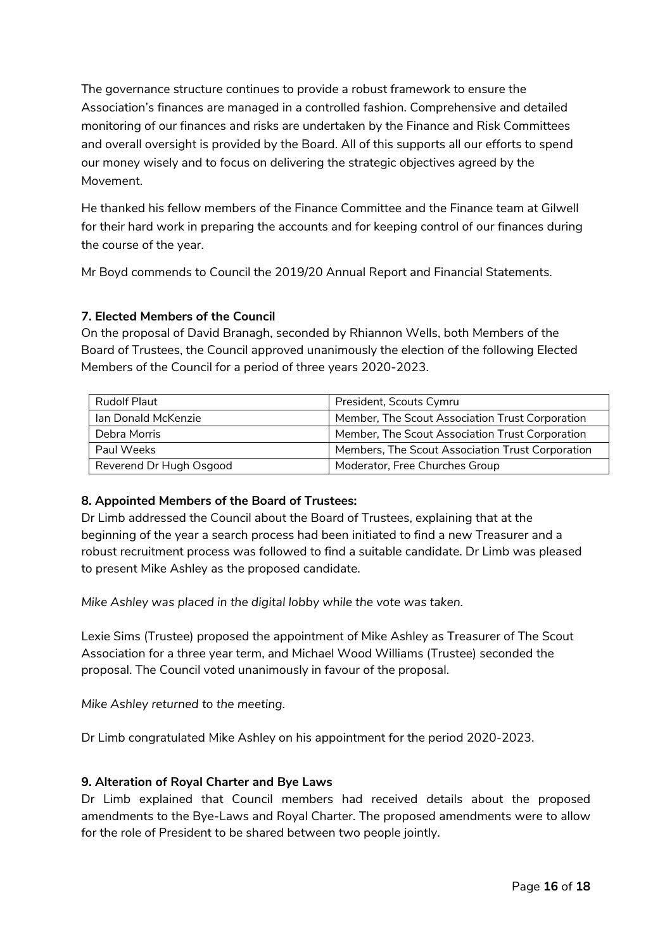The governance structure continues to provide a robust framework to ensure the Association's finances are managed in a controlled fashion. Comprehensive and detailed monitoring of our finances and risks are undertaken by the Finance and Risk Committees and overall oversight is provided by the Board. All of this supports all our efforts to spend our money wisely and to focus on delivering the strategic objectives agreed by the Movement.

He thanked his fellow members of the Finance Committee and the Finance team at Gilwell for their hard work in preparing the accounts and for keeping control of our finances during the course of the year.

Mr Boyd commends to Council the 2019/20 Annual Report and Financial Statements.

# **7. Elected Members of the Council**

On the proposal of David Branagh, seconded by Rhiannon Wells, both Members of the Board of Trustees, the Council approved unanimously the election of the following Elected Members of the Council for a period of three years 2020-2023.

| Rudolf Plaut            | President, Scouts Cymru                          |
|-------------------------|--------------------------------------------------|
| Ian Donald McKenzie     | Member, The Scout Association Trust Corporation  |
| Debra Morris            | Member, The Scout Association Trust Corporation  |
| Paul Weeks              | Members, The Scout Association Trust Corporation |
| Reverend Dr Hugh Osgood | Moderator, Free Churches Group                   |

# **8. Appointed Members of the Board of Trustees:**

Dr Limb addressed the Council about the Board of Trustees, explaining that at the beginning of the year a search process had been initiated to find a new Treasurer and a robust recruitment process was followed to find a suitable candidate. Dr Limb was pleased to present Mike Ashley as the proposed candidate.

*Mike Ashley was placed in the digital lobby while the vote was taken.*

Lexie Sims (Trustee) proposed the appointment of Mike Ashley as Treasurer of The Scout Association for a three year term, and Michael Wood Williams (Trustee) seconded the proposal. The Council voted unanimously in favour of the proposal.

*Mike Ashley returned to the meeting.*

Dr Limb congratulated Mike Ashley on his appointment for the period 2020-2023.

#### **9. Alteration of Royal Charter and Bye Laws**

Dr Limb explained that Council members had received details about the proposed amendments to the Bye-Laws and Royal Charter. The proposed amendments were to allow for the role of President to be shared between two people jointly.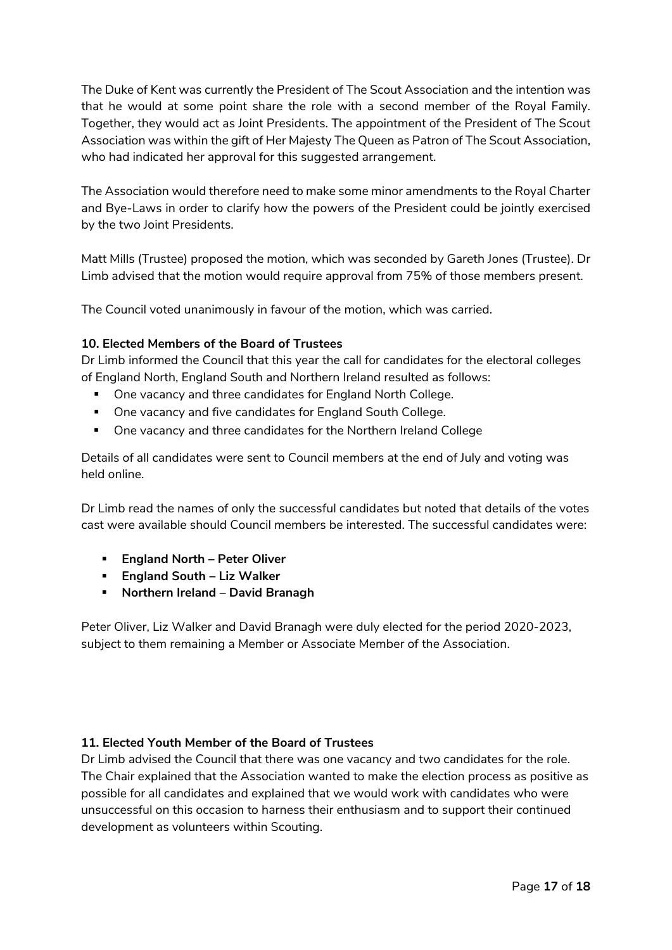The Duke of Kent was currently the President of The Scout Association and the intention was that he would at some point share the role with a second member of the Royal Family. Together, they would act as Joint Presidents. The appointment of the President of The Scout Association was within the gift of Her Majesty The Queen as Patron of The Scout Association, who had indicated her approval for this suggested arrangement.

The Association would therefore need to make some minor amendments to the Royal Charter and Bye-Laws in order to clarify how the powers of the President could be jointly exercised by the two Joint Presidents.

Matt Mills (Trustee) proposed the motion, which was seconded by Gareth Jones (Trustee). Dr Limb advised that the motion would require approval from 75% of those members present.

The Council voted unanimously in favour of the motion, which was carried.

# **10. Elected Members of the Board of Trustees**

Dr Limb informed the Council that this year the call for candidates for the electoral colleges of England North, England South and Northern Ireland resulted as follows:

- One vacancy and three candidates for England North College.
- One vacancy and five candidates for England South College.
- One vacancy and three candidates for the Northern Ireland College

Details of all candidates were sent to Council members at the end of July and voting was held online.

Dr Limb read the names of only the successful candidates but noted that details of the votes cast were available should Council members be interested. The successful candidates were:

- **England North – Peter Oliver**
- **England South – Liz Walker**
- **Northern Ireland – David Branagh**

Peter Oliver, Liz Walker and David Branagh were duly elected for the period 2020-2023, subject to them remaining a Member or Associate Member of the Association.

#### **11. Elected Youth Member of the Board of Trustees**

Dr Limb advised the Council that there was one vacancy and two candidates for the role. The Chair explained that the Association wanted to make the election process as positive as possible for all candidates and explained that we would work with candidates who were unsuccessful on this occasion to harness their enthusiasm and to support their continued development as volunteers within Scouting.